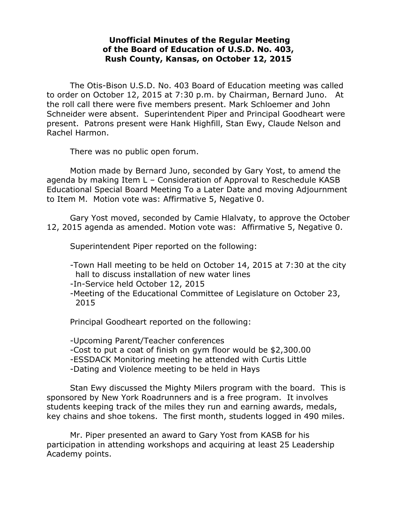## **Unofficial Minutes of the Regular Meeting of the Board of Education of U.S.D. No. 403, Rush County, Kansas, on October 12, 2015**

The Otis-Bison U.S.D. No. 403 Board of Education meeting was called to order on October 12, 2015 at 7:30 p.m. by Chairman, Bernard Juno. At the roll call there were five members present. Mark Schloemer and John Schneider were absent. Superintendent Piper and Principal Goodheart were present. Patrons present were Hank Highfill, Stan Ewy, Claude Nelson and Rachel Harmon.

There was no public open forum.

Motion made by Bernard Juno, seconded by Gary Yost, to amend the agenda by making Item L – Consideration of Approval to Reschedule KASB Educational Special Board Meeting To a Later Date and moving Adjournment to Item M. Motion vote was: Affirmative 5, Negative 0.

Gary Yost moved, seconded by Camie Hlalvaty, to approve the October 12, 2015 agenda as amended. Motion vote was: Affirmative 5, Negative 0.

Superintendent Piper reported on the following:

- -Town Hall meeting to be held on October 14, 2015 at 7:30 at the city hall to discuss installation of new water lines
- -In-Service held October 12, 2015
- -Meeting of the Educational Committee of Legislature on October 23, 2015

Principal Goodheart reported on the following:

-Upcoming Parent/Teacher conferences

- -Cost to put a coat of finish on gym floor would be \$2,300.00
- -ESSDACK Monitoring meeting he attended with Curtis Little
- -Dating and Violence meeting to be held in Hays

Stan Ewy discussed the Mighty Milers program with the board. This is sponsored by New York Roadrunners and is a free program. It involves students keeping track of the miles they run and earning awards, medals, key chains and shoe tokens. The first month, students logged in 490 miles.

Mr. Piper presented an award to Gary Yost from KASB for his participation in attending workshops and acquiring at least 25 Leadership Academy points.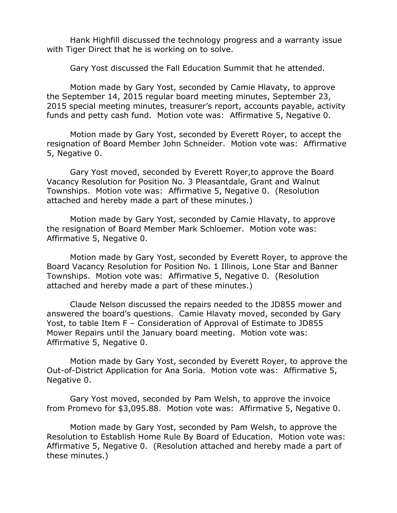Hank Highfill discussed the technology progress and a warranty issue with Tiger Direct that he is working on to solve.

Gary Yost discussed the Fall Education Summit that he attended.

Motion made by Gary Yost, seconded by Camie Hlavaty, to approve the September 14, 2015 regular board meeting minutes, September 23, 2015 special meeting minutes, treasurer's report, accounts payable, activity funds and petty cash fund. Motion vote was: Affirmative 5, Negative 0.

Motion made by Gary Yost, seconded by Everett Royer, to accept the resignation of Board Member John Schneider. Motion vote was: Affirmative 5, Negative 0.

Gary Yost moved, seconded by Everett Royer,to approve the Board Vacancy Resolution for Position No. 3 Pleasantdale, Grant and Walnut Townships. Motion vote was: Affirmative 5, Negative 0. (Resolution attached and hereby made a part of these minutes.)

Motion made by Gary Yost, seconded by Camie Hlavaty, to approve the resignation of Board Member Mark Schloemer. Motion vote was: Affirmative 5, Negative 0.

Motion made by Gary Yost, seconded by Everett Royer, to approve the Board Vacancy Resolution for Position No. 1 Illinois, Lone Star and Banner Townships. Motion vote was: Affirmative 5, Negative 0. (Resolution attached and hereby made a part of these minutes.)

Claude Nelson discussed the repairs needed to the JD855 mower and answered the board's questions. Camie Hlavaty moved, seconded by Gary Yost, to table Item F – Consideration of Approval of Estimate to JD855 Mower Repairs until the January board meeting. Motion vote was: Affirmative 5, Negative 0.

Motion made by Gary Yost, seconded by Everett Royer, to approve the Out-of-District Application for Ana Soria. Motion vote was: Affirmative 5, Negative 0.

Gary Yost moved, seconded by Pam Welsh, to approve the invoice from Promevo for \$3,095.88. Motion vote was: Affirmative 5, Negative 0.

Motion made by Gary Yost, seconded by Pam Welsh, to approve the Resolution to Establish Home Rule By Board of Education. Motion vote was: Affirmative 5, Negative 0. (Resolution attached and hereby made a part of these minutes.)